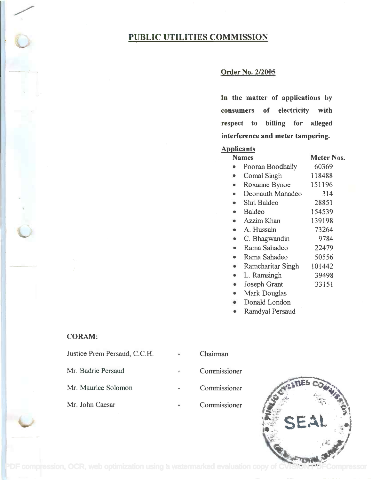# PUBLIC UTILITIES COMMISSION

# Order No. 2/2005

In the matter of applications by **In the matter of applications by** consumers of electricity with **consumers of electricity with** respect to billing for alleged **respect to billing for aUeged** interference and meter tampering. **interference and meter tampering.**

## Applicants **Applicants**

| <b>Names</b> |                   | Meter Nos. |  |
|--------------|-------------------|------------|--|
|              | Pooran Boodhaily  | 60369      |  |
| ۰            | Comal Singh       | 118488     |  |
|              | Roxanne Bynoe     | 151196     |  |
|              | Deonauth Mahadeo  | 314        |  |
|              | Shri Baldeo       | 28851      |  |
| $\bullet$    | Baldeo            | 154539     |  |
|              | Azzim Khan        | 139198     |  |
|              | A. Hussain        | 73264      |  |
| ۰            | C. Bhagwandin     | 9784       |  |
|              | Rama Sahadeo      | 22479      |  |
| $\bullet$    | Rama Sahadeo      | 50556      |  |
|              | Ramcharitar Singh | 101442     |  |
| ۰            | L. Ramsingh       | 39498      |  |
|              | Joseph Grant      | 33151      |  |
|              | Mark Douglas      |            |  |

- Donald London Donald London
- Ramdyal Persaud Ramdyal Persaud

### CORAM:

| Justice Prem Persaud, C.C.H. |   | Chairman     |
|------------------------------|---|--------------|
| Mr. Badrie Persaud           |   | Commissioner |
| Mr. Maurice Solomon          |   | Commissioner |
| Mr. John Caesar              | z | Commissioner |



[PDF compression, OCR, web optimization using a watermarked evaluation copy of CVISION PDFCompressor](http://www.cvisiontech.com)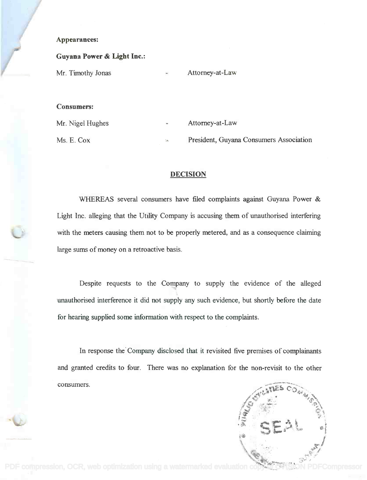### Appearances:

#### Guyana Power & Light Inc.:

Mr. Timothy Jonas

Attorney-at-Law

#### Consumers:

Mr. Nigel Hughes

Ms. E. Cox

Attorney-at-Law

President, Guyana Consumers Association

#### DECISION

WHEREAS several consumers have filed complaints against Guyana Power & Light Inc. alleging that the Utility Company is accusing them of unauthorised interfering with the meters causing them not to be properly metered, and as a consequence claiming large sums of money on a retroactive basis.

Despite requests to the Company to supply the evidence of the alleged unauthorised interference it did not supply any such evidence, but shortly before the date for hearing supplied some information with respect to the complaints.

In response the Company disclosed that it revisited five premises of complainants and granted credits to four. There was no explanation for the non-revisit to the other consumers.